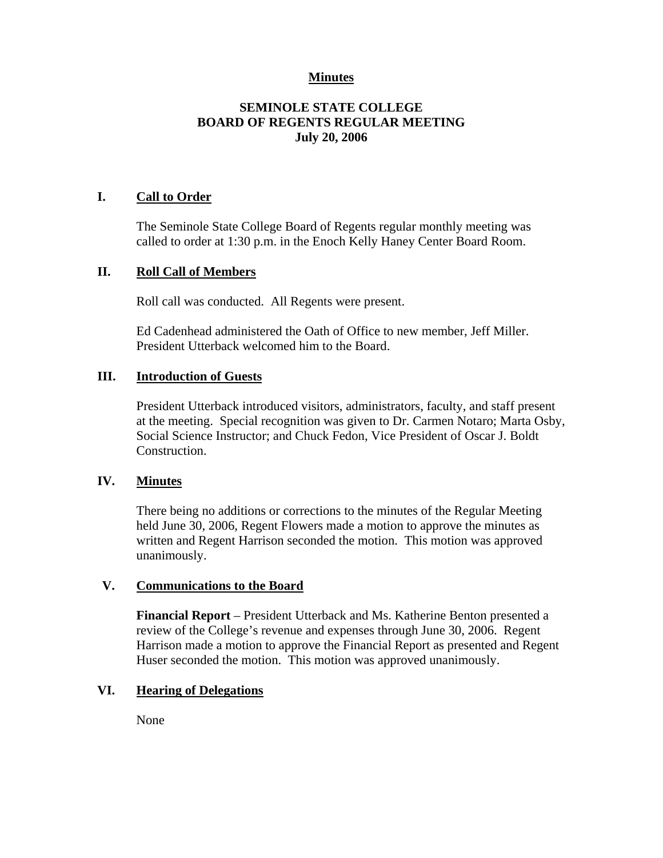## **Minutes**

# **SEMINOLE STATE COLLEGE BOARD OF REGENTS REGULAR MEETING July 20, 2006**

### **I. Call to Order**

The Seminole State College Board of Regents regular monthly meeting was called to order at 1:30 p.m. in the Enoch Kelly Haney Center Board Room.

### **II. Roll Call of Members**

Roll call was conducted. All Regents were present.

Ed Cadenhead administered the Oath of Office to new member, Jeff Miller. President Utterback welcomed him to the Board.

#### **III. Introduction of Guests**

President Utterback introduced visitors, administrators, faculty, and staff present at the meeting. Special recognition was given to Dr. Carmen Notaro; Marta Osby, Social Science Instructor; and Chuck Fedon, Vice President of Oscar J. Boldt Construction.

#### **IV. Minutes**

There being no additions or corrections to the minutes of the Regular Meeting held June 30, 2006, Regent Flowers made a motion to approve the minutes as written and Regent Harrison seconded the motion. This motion was approved unanimously.

#### **V. Communications to the Board**

**Financial Report** – President Utterback and Ms. Katherine Benton presented a review of the College's revenue and expenses through June 30, 2006. Regent Harrison made a motion to approve the Financial Report as presented and Regent Huser seconded the motion. This motion was approved unanimously.

#### **VI. Hearing of Delegations**

None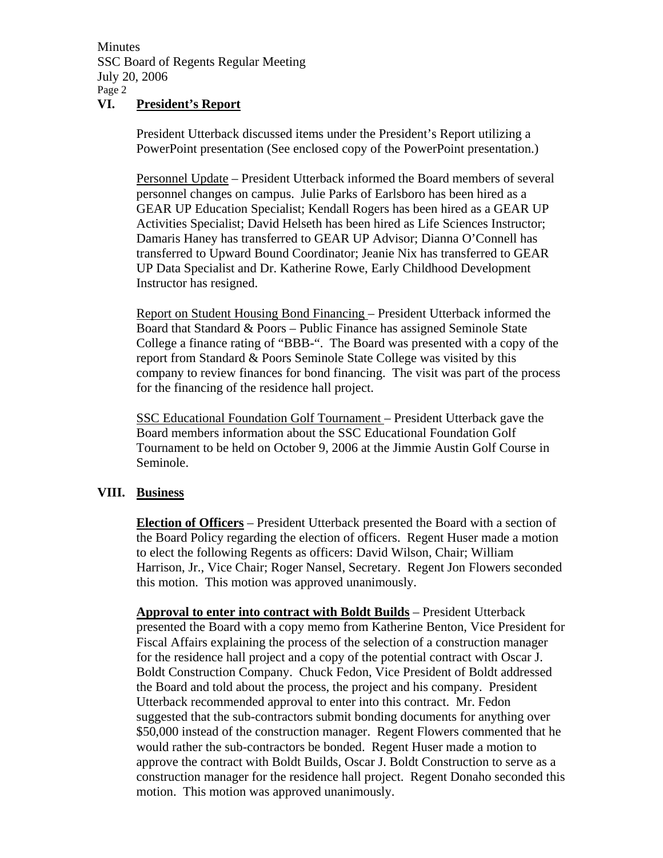Minutes SSC Board of Regents Regular Meeting July 20, 2006 Page 2

### **VI. President's Report**

President Utterback discussed items under the President's Report utilizing a PowerPoint presentation (See enclosed copy of the PowerPoint presentation.)

Personnel Update – President Utterback informed the Board members of several personnel changes on campus. Julie Parks of Earlsboro has been hired as a GEAR UP Education Specialist; Kendall Rogers has been hired as a GEAR UP Activities Specialist; David Helseth has been hired as Life Sciences Instructor; Damaris Haney has transferred to GEAR UP Advisor; Dianna O'Connell has transferred to Upward Bound Coordinator; Jeanie Nix has transferred to GEAR UP Data Specialist and Dr. Katherine Rowe, Early Childhood Development Instructor has resigned.

Report on Student Housing Bond Financing – President Utterback informed the Board that Standard & Poors – Public Finance has assigned Seminole State College a finance rating of "BBB-". The Board was presented with a copy of the report from Standard & Poors Seminole State College was visited by this company to review finances for bond financing. The visit was part of the process for the financing of the residence hall project.

SSC Educational Foundation Golf Tournament – President Utterback gave the Board members information about the SSC Educational Foundation Golf Tournament to be held on October 9, 2006 at the Jimmie Austin Golf Course in Seminole.

# **VIII. Business**

**Election of Officers** – President Utterback presented the Board with a section of the Board Policy regarding the election of officers. Regent Huser made a motion to elect the following Regents as officers: David Wilson, Chair; William Harrison, Jr., Vice Chair; Roger Nansel, Secretary. Regent Jon Flowers seconded this motion. This motion was approved unanimously.

**Approval to enter into contract with Boldt Builds** – President Utterback presented the Board with a copy memo from Katherine Benton, Vice President for Fiscal Affairs explaining the process of the selection of a construction manager for the residence hall project and a copy of the potential contract with Oscar J. Boldt Construction Company. Chuck Fedon, Vice President of Boldt addressed the Board and told about the process, the project and his company. President Utterback recommended approval to enter into this contract. Mr. Fedon suggested that the sub-contractors submit bonding documents for anything over \$50,000 instead of the construction manager. Regent Flowers commented that he would rather the sub-contractors be bonded. Regent Huser made a motion to approve the contract with Boldt Builds, Oscar J. Boldt Construction to serve as a construction manager for the residence hall project. Regent Donaho seconded this motion. This motion was approved unanimously.